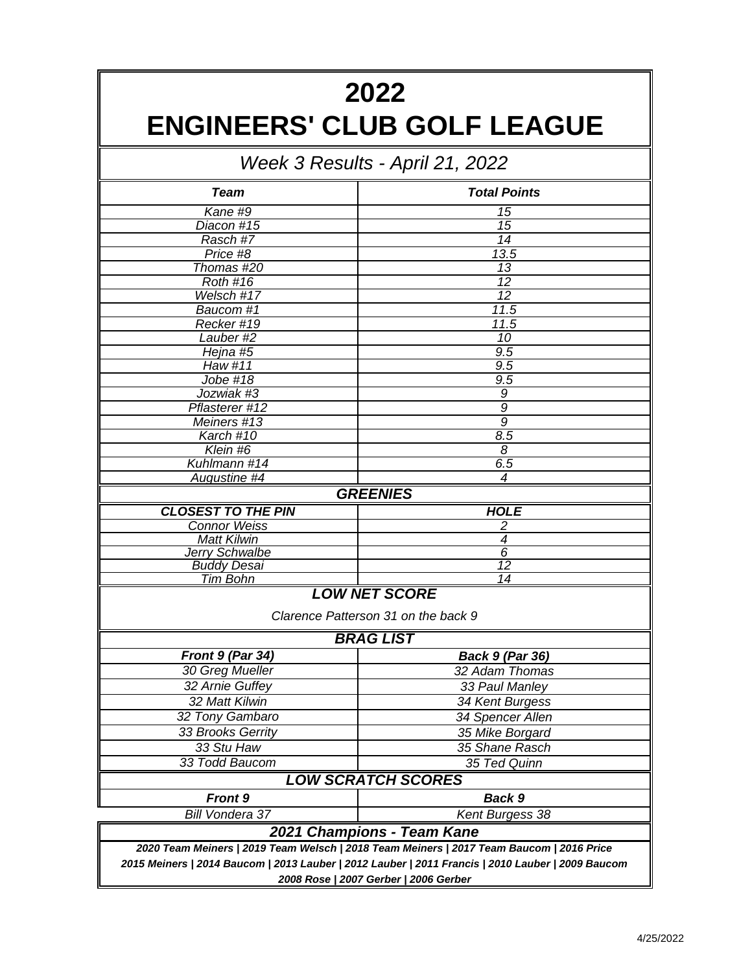## **2022 ENGINEERS' CLUB GOLF LEAGUE**

| Week 3 Results - April 21, 2022 |                                                             |  |  |  |  |  |
|---------------------------------|-------------------------------------------------------------|--|--|--|--|--|
| <b>Team</b>                     | <b>Total Points</b>                                         |  |  |  |  |  |
| Kane #9                         | 15                                                          |  |  |  |  |  |
| Diacon #15                      | 15                                                          |  |  |  |  |  |
| Rasch #7                        | 14                                                          |  |  |  |  |  |
| Price #8                        | 13.5                                                        |  |  |  |  |  |
| Thomas #20                      | 13                                                          |  |  |  |  |  |
| <b>Roth #16</b>                 | 12                                                          |  |  |  |  |  |
| Welsch #17                      | $\overline{12}$                                             |  |  |  |  |  |
| Baucom #1                       | 11.5                                                        |  |  |  |  |  |
| Recker #19                      | 11.5                                                        |  |  |  |  |  |
| Lauber #2                       | 10                                                          |  |  |  |  |  |
| Hejna #5                        | 9.5                                                         |  |  |  |  |  |
| Haw #11                         | 9.5                                                         |  |  |  |  |  |
| Jobe #18                        | $9.\overline{5}$                                            |  |  |  |  |  |
| Jozwiak #3                      | 9                                                           |  |  |  |  |  |
| Pflasterer #12                  | 9<br>$\overline{9}$                                         |  |  |  |  |  |
| Meiners #13                     |                                                             |  |  |  |  |  |
| Karch #10<br>Klein #6           | 8.5<br>8                                                    |  |  |  |  |  |
| Kuhlmann #14                    | 6.5                                                         |  |  |  |  |  |
| Augustine #4                    | 4                                                           |  |  |  |  |  |
|                                 | <b>GREENIES</b>                                             |  |  |  |  |  |
| <b>CLOSEST TO THE PIN</b>       | <b>HOLE</b>                                                 |  |  |  |  |  |
| <b>Connor Weiss</b>             | 2                                                           |  |  |  |  |  |
| <b>Matt Kilwin</b>              | $\overline{4}$                                              |  |  |  |  |  |
| <b>Jerry Schwalbe</b>           | $\overline{6}$                                              |  |  |  |  |  |
| <b>Buddy Desai</b>              | $\overline{12}$                                             |  |  |  |  |  |
| Tim Bohn                        | 14                                                          |  |  |  |  |  |
|                                 | <b>LOW NET SCORE</b><br>Clarence Patterson 31 on the back 9 |  |  |  |  |  |
|                                 | <b>BRAG LIST</b>                                            |  |  |  |  |  |
| Front $9$ (Par 34)              | <b>Back 9 (Par 36)</b>                                      |  |  |  |  |  |
| 30 Greg Mueller                 | 32 Adam Thomas                                              |  |  |  |  |  |
| 32 Arnie Guffey                 | 33 Paul Manley                                              |  |  |  |  |  |
| 32 Matt Kilwin                  | 34 Kent Burgess                                             |  |  |  |  |  |
| 32 Tony Gambaro                 | 34 Spencer Allen                                            |  |  |  |  |  |
| 33 Brooks Gerrity               | 35 Mike Borgard                                             |  |  |  |  |  |
| 33 Stu Haw                      | 35 Shane Rasch                                              |  |  |  |  |  |
| 33 Todd Baucom                  | 35 Ted Quinn                                                |  |  |  |  |  |
|                                 | <b>LOW SCRATCH SCORES</b>                                   |  |  |  |  |  |
| <b>Front 9</b>                  | Back 9                                                      |  |  |  |  |  |
| Bill Vondera 37                 | Kent Burgess 38                                             |  |  |  |  |  |

*2008 Rose | 2007 Gerber | 2006 Gerber 2015 Meiners | 2014 Baucom | 2013 Lauber | 2012 Lauber | 2011 Francis | 2010 Lauber | 2009 Baucom 2020 Team Meiners | 2019 Team Welsch | 2018 Team Meiners | 2017 Team Baucom | 2016 Price 2021 Champions - Team Kane*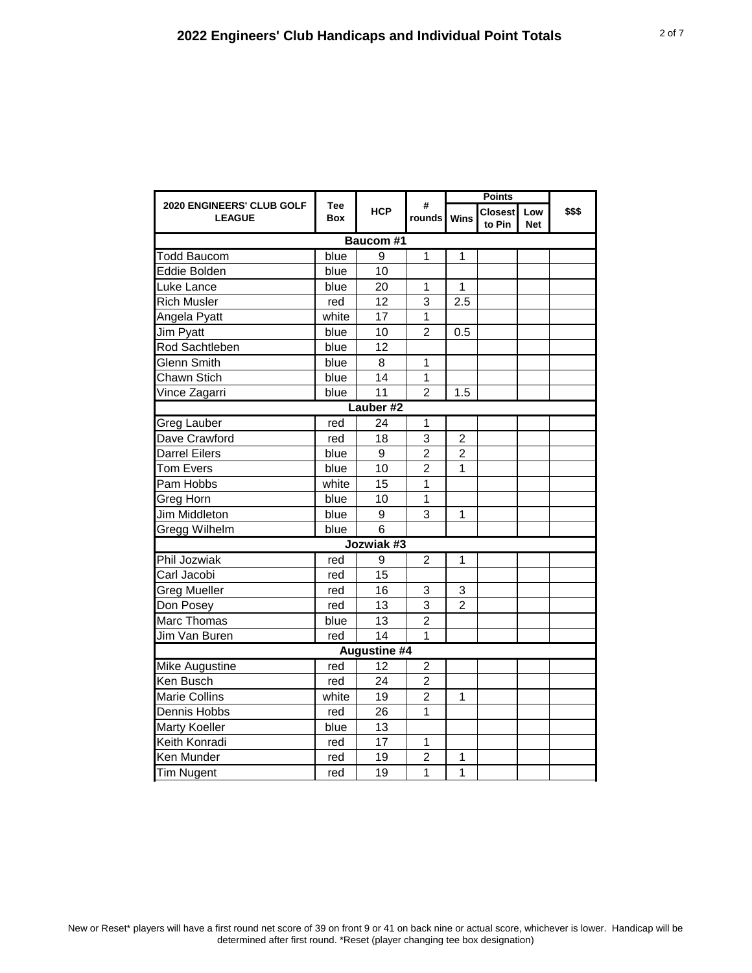|                                            |                          |                     |                  |                | <b>Points</b>            |                             |  |
|--------------------------------------------|--------------------------|---------------------|------------------|----------------|--------------------------|-----------------------------|--|
| 2020 ENGINEERS' CLUB GOLF<br><b>LEAGUE</b> | <b>Tee</b><br><b>Box</b> | <b>HCP</b>          | #<br>rounds Wins |                | <b>Closest</b><br>to Pin | \$\$\$<br>Low<br><b>Net</b> |  |
|                                            |                          | <b>Baucom #1</b>    |                  |                |                          |                             |  |
| Todd Baucom                                | blue                     | 9                   | 1                | 1              |                          |                             |  |
| Eddie Bolden                               | blue                     | 10                  |                  |                |                          |                             |  |
| Luke Lance                                 | blue                     | 20                  | 1                | 1              |                          |                             |  |
| <b>Rich Musler</b>                         | red                      | 12                  | 3                | 2.5            |                          |                             |  |
| Angela Pyatt                               | white                    | 17                  | 1                |                |                          |                             |  |
| Jim Pyatt                                  | blue                     | 10                  | $\overline{2}$   | 0.5            |                          |                             |  |
| Rod Sachtleben                             | blue                     | 12                  |                  |                |                          |                             |  |
| Glenn Smith                                | blue                     | 8                   | $\mathbf{1}$     |                |                          |                             |  |
| Chawn Stich                                | blue                     | 14                  | $\mathbf{1}$     |                |                          |                             |  |
| Vince Zagarri                              | blue                     | 11                  | $\overline{2}$   | 1.5            |                          |                             |  |
|                                            |                          | Lauber #2           |                  |                |                          |                             |  |
| Greg Lauber                                | red                      | 24                  | 1                |                |                          |                             |  |
| Dave Crawford                              | red                      | 18                  | 3                | $\overline{2}$ |                          |                             |  |
| Darrel Eilers                              | blue                     | 9                   | $\overline{2}$   | $\overline{c}$ |                          |                             |  |
| <b>Tom Evers</b>                           | blue                     | 10                  | $\overline{2}$   | 1              |                          |                             |  |
| Pam Hobbs                                  | white                    | 15                  | 1                |                |                          |                             |  |
| Greg Horn                                  | blue                     | 10                  | $\overline{1}$   |                |                          |                             |  |
| <b>Jim Middleton</b>                       | blue                     | 9                   | 3                | 1              |                          |                             |  |
| Gregg Wilhelm                              | blue                     | 6                   |                  |                |                          |                             |  |
|                                            |                          | Jozwiak #3          |                  |                |                          |                             |  |
| Phil Jozwiak                               | red                      | 9                   | $\overline{2}$   | $\overline{1}$ |                          |                             |  |
| Carl Jacobi                                | red                      | 15                  |                  |                |                          |                             |  |
| Greg Mueller                               | red                      | 16                  | 3                | 3              |                          |                             |  |
| Don Posey                                  | red                      | 13                  | 3                | $\overline{2}$ |                          |                             |  |
| Marc Thomas                                | blue                     | 13                  | $\overline{2}$   |                |                          |                             |  |
| Jim Van Buren                              | red                      | 14                  | $\mathbf 1$      |                |                          |                             |  |
|                                            |                          | <b>Augustine #4</b> |                  |                |                          |                             |  |
| Mike Augustine                             | red                      | 12                  | $\overline{c}$   |                |                          |                             |  |
| Ken Busch                                  | red                      | 24                  | $\overline{2}$   |                |                          |                             |  |
| <b>Marie Collins</b>                       | white                    | 19                  | $\overline{2}$   | 1              |                          |                             |  |
| Dennis Hobbs                               | red                      | 26                  | 1                |                |                          |                             |  |
| Marty Koeller                              | blue                     | 13                  |                  |                |                          |                             |  |
| Keith Konradi                              | red                      | 17                  | $\mathbf{1}$     |                |                          |                             |  |
| Ken Munder                                 | red                      | 19                  | $\overline{2}$   | 1              |                          |                             |  |
| <b>Tim Nugent</b>                          | red                      | 19                  | 1                | 1              |                          |                             |  |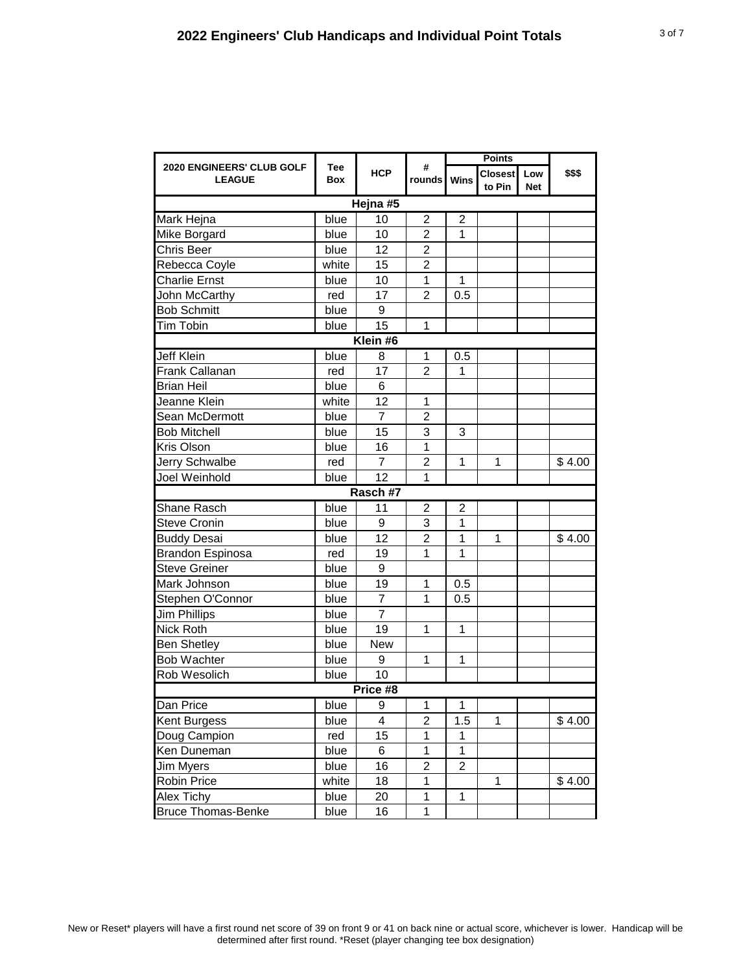| 2020 ENGINEERS' CLUB GOLF<br><b>LEAGUE</b> |                          |                | #<br>rounds Wins | <b>Points</b>  |                          |                   |        |  |  |  |
|--------------------------------------------|--------------------------|----------------|------------------|----------------|--------------------------|-------------------|--------|--|--|--|
|                                            | <b>Tee</b><br><b>Box</b> | <b>HCP</b>     |                  |                | <b>Closest</b><br>to Pin | Low<br><b>Net</b> | \$\$\$ |  |  |  |
| Hejna #5                                   |                          |                |                  |                |                          |                   |        |  |  |  |
| Mark Hejna                                 | blue                     | 10             | $\overline{c}$   | $\overline{c}$ |                          |                   |        |  |  |  |
| Mike Borgard                               | blue                     | 10             | 2                | 1              |                          |                   |        |  |  |  |
| Chris Beer                                 | blue                     | 12             | 2                |                |                          |                   |        |  |  |  |
| Rebecca Coyle                              | white                    | 15             | $\overline{c}$   |                |                          |                   |        |  |  |  |
| <b>Charlie Ernst</b>                       | blue                     | 10             | 1                | 1              |                          |                   |        |  |  |  |
| John McCarthy                              | red                      | 17             | 2                | 0.5            |                          |                   |        |  |  |  |
| <b>Bob Schmitt</b>                         | blue                     | 9              |                  |                |                          |                   |        |  |  |  |
| Tim Tobin                                  | blue                     | 15             | 1                |                |                          |                   |        |  |  |  |
|                                            |                          | Klein #6       |                  |                |                          |                   |        |  |  |  |
| <b>Jeff Klein</b>                          | blue                     | 8              | 1                | 0.5            |                          |                   |        |  |  |  |
| Frank Callanan                             | red                      | 17             | $\overline{2}$   | 1              |                          |                   |        |  |  |  |
| <b>Brian Heil</b>                          | blue                     | 6              |                  |                |                          |                   |        |  |  |  |
| Jeanne Klein                               | white                    | 12             | 1                |                |                          |                   |        |  |  |  |
| Sean McDermott                             | blue                     | 7              | $\overline{2}$   |                |                          |                   |        |  |  |  |
| <b>Bob Mitchell</b>                        | blue                     | 15             | 3                | 3              |                          |                   |        |  |  |  |
| Kris Olson                                 | blue                     | 16             | 1                |                |                          |                   |        |  |  |  |
| Jerry Schwalbe                             | red                      | $\overline{7}$ | $\overline{2}$   | 1              | 1                        |                   | \$4.00 |  |  |  |
| Joel Weinhold                              | blue                     | 12             | 1                |                |                          |                   |        |  |  |  |
|                                            |                          | Rasch #7       |                  |                |                          |                   |        |  |  |  |
| <b>Shane Rasch</b>                         | blue                     | 11             | $\overline{c}$   | $\overline{c}$ |                          |                   |        |  |  |  |
| <b>Steve Cronin</b>                        | blue                     | 9              | 3                | 1              |                          |                   |        |  |  |  |
| <b>Buddy Desai</b>                         | blue                     | 12             | 2                | 1              | 1                        |                   | \$4.00 |  |  |  |
| <b>Brandon Espinosa</b>                    | red                      | 19             | 1                | 1              |                          |                   |        |  |  |  |
| <b>Steve Greiner</b>                       | blue                     | 9              |                  |                |                          |                   |        |  |  |  |
| Mark Johnson                               | blue                     | 19             | 1                | 0.5            |                          |                   |        |  |  |  |
| Stephen O'Connor                           | blue                     | $\overline{7}$ | 1                | 0.5            |                          |                   |        |  |  |  |
| <b>Jim Phillips</b>                        | blue                     | $\overline{7}$ |                  |                |                          |                   |        |  |  |  |
| Nick Roth                                  | blue                     | 19             | 1                | 1              |                          |                   |        |  |  |  |
| <b>Ben Shetley</b>                         | blue                     | <b>New</b>     |                  |                |                          |                   |        |  |  |  |
| <b>Bob Wachter</b>                         | blue                     | 9              | 1                | 1              |                          |                   |        |  |  |  |
| Rob Wesolich                               | blue                     | 10             |                  |                |                          |                   |        |  |  |  |
| Price #8                                   |                          |                |                  |                |                          |                   |        |  |  |  |
| Dan Price                                  | blue                     | $\overline{9}$ | 1                | 1              |                          |                   |        |  |  |  |
| Kent Burgess                               | blue                     | 4              | $\overline{c}$   | 1.5            | 1                        |                   | \$4.00 |  |  |  |
| Doug Campion                               | red                      | 15             | 1                | 1              |                          |                   |        |  |  |  |
| Ken Duneman                                | blue                     | 6              | 1                | 1              |                          |                   |        |  |  |  |
| Jim Myers                                  | blue                     | 16             | 2                | 2              |                          |                   |        |  |  |  |
| Robin Price                                | white                    | 18             | 1                |                | 1                        |                   | \$4.00 |  |  |  |
| Alex Tichy                                 | blue                     | 20             | 1                | 1              |                          |                   |        |  |  |  |
| <b>Bruce Thomas-Benke</b>                  | blue                     | 16             | $\mathbf 1$      |                |                          |                   |        |  |  |  |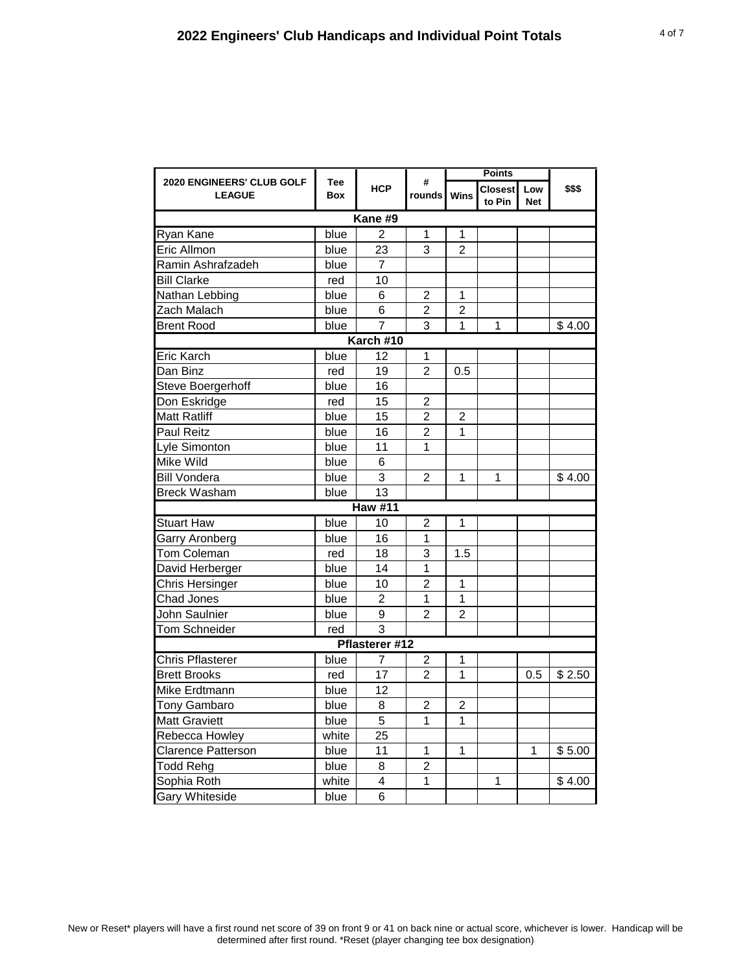|                                            |                   | #              | <b>Points</b>    |                         |                          |                   |        |  |  |
|--------------------------------------------|-------------------|----------------|------------------|-------------------------|--------------------------|-------------------|--------|--|--|
| 2020 ENGINEERS' CLUB GOLF<br><b>LEAGUE</b> | <b>Tee</b><br>Box | <b>HCP</b>     | rounds Wins      |                         | <b>Closest</b><br>to Pin | Low<br><b>Net</b> | \$\$\$ |  |  |
|                                            |                   | Kane #9        |                  |                         |                          |                   |        |  |  |
| Ryan Kane                                  | blue              | $\overline{2}$ | 1                | 1                       |                          |                   |        |  |  |
| Eric Allmon                                | blue              | 23             | 3                | $\overline{2}$          |                          |                   |        |  |  |
| Ramin Ashrafzadeh                          | blue              | 7              |                  |                         |                          |                   |        |  |  |
| <b>Bill Clarke</b>                         | red               | 10             |                  |                         |                          |                   |        |  |  |
| Nathan Lebbing                             | blue              | 6              | $\overline{2}$   | $\overline{1}$          |                          |                   |        |  |  |
| Zach Malach                                | blue              | 6              | $\overline{2}$   | $\overline{2}$          |                          |                   |        |  |  |
| <b>Brent Rood</b>                          | blue              | $\overline{7}$ | 3                | $\mathbf{1}$            | $\mathbf{1}$             |                   | \$4.00 |  |  |
| Karch #10                                  |                   |                |                  |                         |                          |                   |        |  |  |
| Eric Karch                                 | blue              | 12             | 1                |                         |                          |                   |        |  |  |
| Dan Binz                                   | red               | 19             | $\overline{2}$   | 0.5                     |                          |                   |        |  |  |
| Steve Boergerhoff                          | blue              | 16             |                  |                         |                          |                   |        |  |  |
| Don Eskridge                               | red               | 15             | $\boldsymbol{2}$ |                         |                          |                   |        |  |  |
| <b>Matt Ratliff</b>                        | blue              | 15             | $\overline{c}$   | $\overline{2}$          |                          |                   |        |  |  |
| Paul Reitz                                 | blue              | 16             | $\overline{2}$   | 1                       |                          |                   |        |  |  |
| Lyle Simonton                              | blue              | 11             | 1                |                         |                          |                   |        |  |  |
| <b>Mike Wild</b>                           | blue              | 6              |                  |                         |                          |                   |        |  |  |
| <b>Bill Vondera</b>                        | blue              | 3              | 2                | 1                       | 1                        |                   | \$4.00 |  |  |
| <b>Breck Washam</b>                        | blue              | 13             |                  |                         |                          |                   |        |  |  |
|                                            |                   | <b>Haw #11</b> |                  |                         |                          |                   |        |  |  |
| <b>Stuart Haw</b>                          | blue              | 10             | 2                | 1                       |                          |                   |        |  |  |
| Garry Aronberg                             | blue              | 16             | 1                |                         |                          |                   |        |  |  |
| Tom Coleman                                | red               | 18             | 3                | 1.5                     |                          |                   |        |  |  |
| David Herberger                            | blue              | 14             | 1                |                         |                          |                   |        |  |  |
| Chris Hersinger                            | blue              | 10             | $\overline{2}$   | 1                       |                          |                   |        |  |  |
| Chad Jones                                 | blue              | $\overline{2}$ | $\mathbf{1}$     | $\mathbf{1}$            |                          |                   |        |  |  |
| John Saulnier                              | blue              | 9              | 2                | 2                       |                          |                   |        |  |  |
| Tom Schneider                              | red               | 3              |                  |                         |                          |                   |        |  |  |
|                                            |                   | Pflasterer #12 |                  |                         |                          |                   |        |  |  |
| <b>Chris Pflasterer</b>                    | blue              | 7              | 2                | 1                       |                          |                   |        |  |  |
| <b>Brett Brooks</b>                        | red               | 17             | $\overline{2}$   | 1                       |                          | 0.5               | \$2.50 |  |  |
| Mike Erdtmann                              | blue              | 12             |                  |                         |                          |                   |        |  |  |
| <b>Tony Gambaro</b>                        | blue              | 8              | $\mathbf 2$      | $\overline{\mathbf{c}}$ |                          |                   |        |  |  |
| <b>Matt Graviett</b>                       | blue              | $\overline{5}$ | 1                | 1                       |                          |                   |        |  |  |
| Rebecca Howley                             | white             | 25             |                  |                         |                          |                   |        |  |  |
| <b>Clarence Patterson</b>                  | blue              | 11             | $\mathbf{1}$     | 1                       |                          | 1                 | \$5.00 |  |  |
| <b>Todd Rehg</b>                           | blue              | $\,8\,$        | $\overline{2}$   |                         |                          |                   |        |  |  |
| Sophia Roth                                | white             | 4              | 1                |                         | 1                        |                   | \$4.00 |  |  |
| <b>Gary Whiteside</b>                      | blue              | 6              |                  |                         |                          |                   |        |  |  |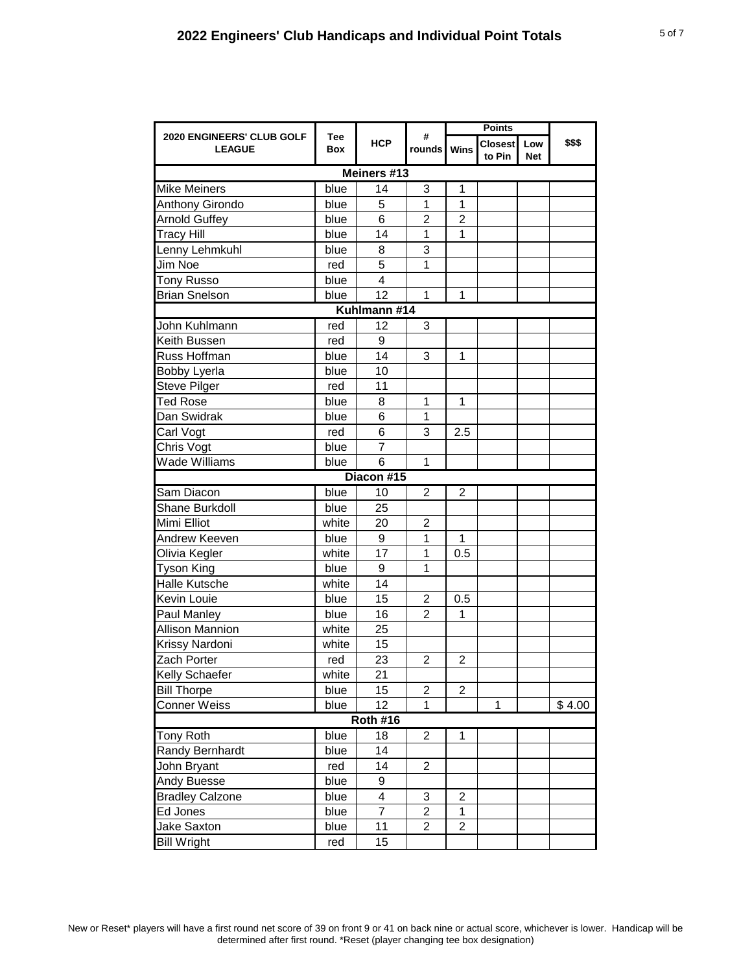| 2020 ENGINEERS' CLUB GOLF<br><b>LEAGUE</b> | Tee<br>Box | <b>HCP</b>       | #<br>rounds Wins |                | Closest<br>to Pin | Low<br><b>Net</b> | \$\$\$ |  |  |  |
|--------------------------------------------|------------|------------------|------------------|----------------|-------------------|-------------------|--------|--|--|--|
| Meiners #13                                |            |                  |                  |                |                   |                   |        |  |  |  |
| <b>Mike Meiners</b>                        | blue       | 14               | 3                | 1              |                   |                   |        |  |  |  |
| Anthony Girondo                            | blue       | 5                | 1                | $\mathbf{1}$   |                   |                   |        |  |  |  |
| <b>Arnold Guffey</b>                       | blue       | 6                | $\overline{2}$   | $\overline{c}$ |                   |                   |        |  |  |  |
| <b>Tracy Hill</b>                          | blue       | 14               | 1                | 1              |                   |                   |        |  |  |  |
| Lenny Lehmkuhl                             | blue       | 8                | 3                |                |                   |                   |        |  |  |  |
| Jim Noe                                    | red        | 5                | 1                |                |                   |                   |        |  |  |  |
| <b>Tony Russo</b>                          | blue       | 4                |                  |                |                   |                   |        |  |  |  |
| <b>Brian Snelson</b>                       | blue       | 12               | $\mathbf{1}$     | 1              |                   |                   |        |  |  |  |
| Kuhlmann #14                               |            |                  |                  |                |                   |                   |        |  |  |  |
| John Kuhlmann                              | red        | 12               | 3                |                |                   |                   |        |  |  |  |
| Keith Bussen                               | red        | $\boldsymbol{9}$ |                  |                |                   |                   |        |  |  |  |
| Russ Hoffman                               | blue       | 14               | 3                | 1              |                   |                   |        |  |  |  |
| <b>Bobby Lyerla</b>                        | blue       | 10               |                  |                |                   |                   |        |  |  |  |
| <b>Steve Pilger</b>                        | red        | 11               |                  |                |                   |                   |        |  |  |  |
| <b>Ted Rose</b>                            | blue       | 8                | 1                | 1              |                   |                   |        |  |  |  |
| Dan Swidrak                                | blue       | 6                | 1                |                |                   |                   |        |  |  |  |
| Carl Vogt                                  | red        | 6                | 3                | 2.5            |                   |                   |        |  |  |  |
| Chris Vogt                                 | blue       | $\overline{7}$   |                  |                |                   |                   |        |  |  |  |
| Wade Williams                              | blue       | 6                | 1                |                |                   |                   |        |  |  |  |
|                                            |            | Diacon #15       |                  |                |                   |                   |        |  |  |  |
| Sam Diacon                                 | blue       | 10               | $\overline{c}$   | 2              |                   |                   |        |  |  |  |
| Shane Burkdoll                             | blue       | 25               |                  |                |                   |                   |        |  |  |  |
| Mimi Elliot                                | white      | 20               | $\overline{2}$   |                |                   |                   |        |  |  |  |
| Andrew Keeven                              | blue       | 9                | 1                | 1              |                   |                   |        |  |  |  |
| Olivia Kegler                              | white      | 17               | 1                | 0.5            |                   |                   |        |  |  |  |
| <b>Tyson King</b>                          | blue       | 9                | 1                |                |                   |                   |        |  |  |  |
| <b>Halle Kutsche</b>                       | white      | 14               |                  |                |                   |                   |        |  |  |  |
| Kevin Louie                                | blue       | 15               | $\overline{c}$   | 0.5            |                   |                   |        |  |  |  |
| Paul Manley                                | blue       | 16               | $\overline{2}$   | 1              |                   |                   |        |  |  |  |
| <b>Allison Mannion</b>                     | white      | 25               |                  |                |                   |                   |        |  |  |  |
| Krissy Nardoni                             | white      | 15               |                  |                |                   |                   |        |  |  |  |
| Zach Porter                                | red        | 23               | $\overline{2}$   | $\overline{2}$ |                   |                   |        |  |  |  |
| Kelly Schaefer                             | white      | 21               |                  |                |                   |                   |        |  |  |  |
| <b>Bill Thorpe</b>                         | blue       | 15               | 2                | 2              |                   |                   |        |  |  |  |
| <b>Conner Weiss</b>                        | blue       | 12               | 1                |                | 1                 |                   | \$4.00 |  |  |  |
| <b>Roth #16</b>                            |            |                  |                  |                |                   |                   |        |  |  |  |
| <b>Tony Roth</b>                           | blue       | 18               | 2                | 1              |                   |                   |        |  |  |  |
| Randy Bernhardt                            | blue       | 14               |                  |                |                   |                   |        |  |  |  |
| John Bryant                                | red        | 14               | $\overline{c}$   |                |                   |                   |        |  |  |  |
| Andy Buesse                                | blue       | 9                |                  |                |                   |                   |        |  |  |  |
| <b>Bradley Calzone</b>                     | blue       | 4                | 3                | $\overline{c}$ |                   |                   |        |  |  |  |
| Ed Jones                                   | blue       | $\overline{7}$   | 2                | 1              |                   |                   |        |  |  |  |
| Jake Saxton                                | blue       | 11               | $\overline{2}$   | $\overline{2}$ |                   |                   |        |  |  |  |
| <b>Bill Wright</b>                         | red        | 15               |                  |                |                   |                   |        |  |  |  |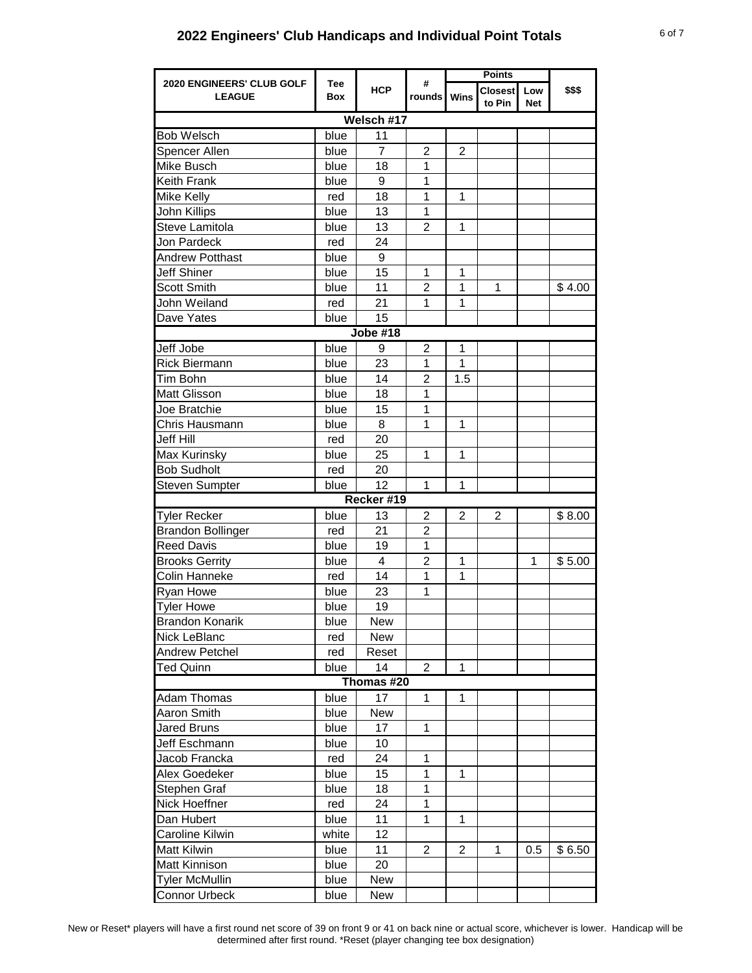## **2022 Engineers' Club Handicaps and Individual Point Totals** 6 of 7

| <b>HCP</b><br>\$\$\$<br><b>Closest</b><br>Low<br>Wins<br><b>LEAGUE</b><br>rounds I<br><b>Box</b><br>to Pin<br>Net<br>Welsch #17<br><b>Bob Welsch</b><br>11<br>blue<br>$\overline{7}$<br>$\overline{2}$<br>$\overline{2}$<br>Spencer Allen<br>blue<br>1<br>Mike Busch<br>blue<br>18<br>Keith Frank<br>1<br>blue<br>9<br>1<br>$\mathbf{1}$<br>Mike Kelly<br>18<br>red<br>1<br>John Killips<br>blue<br>13<br>Steve Lamitola<br>13<br>$\overline{2}$<br>1<br>blue<br>Jon Pardeck<br>24<br>red<br>9<br><b>Andrew Potthast</b><br>blue<br>Jeff Shiner<br>15<br>blue<br>1<br>1<br>11<br>$\overline{2}$<br><b>Scott Smith</b><br>1<br>1<br>\$4.00<br>blue<br>John Weiland<br>21<br>1<br>1<br>red<br>Dave Yates<br>15<br>blue<br>$\overline{\text{Jobe}}$ #18<br>Jeff Jobe<br>blue<br>$\overline{2}$<br>1<br>9<br><b>Rick Biermann</b><br>blue<br>23<br>$\mathbf 1$<br>1<br>Tim Bohn<br>14<br>$\overline{2}$<br>blue<br>1.5<br>Matt Glisson<br>18<br>1<br>blue<br>1<br>Joe Bratchie<br>15<br>blue<br>Chris Hausmann<br>1<br>1<br>blue<br>8<br>Jeff Hill<br>20<br>red<br>Max Kurinsky<br>blue<br>25<br>1<br>1<br><b>Bob Sudholt</b><br>20<br>red<br>12<br>1<br>1<br><b>Steven Sumpter</b><br>blue<br>Recker #19<br><b>Tyler Recker</b><br>blue<br>13<br>2<br>$\overline{2}$<br>2<br>\$8.00<br>21<br><b>Brandon Bollinger</b><br>2<br>red<br>1<br><b>Reed Davis</b><br>blue<br>19<br>$\overline{c}$<br><b>Brooks Gerrity</b><br>4<br>1<br>\$5.00<br>blue<br>1<br>Colin Hanneke<br>14<br>1<br>1<br>red<br>Ryan Howe<br>blue<br>23<br>1<br>19<br><b>Tyler Howe</b><br>blue<br><b>Brandon Konarik</b><br>New<br>blue<br>Nick LeBlanc<br>New<br>red<br>Andrew Petchel<br>red<br>Reset<br>blue<br>14<br>2<br>$\mathbf{1}$<br>Ted Quinn<br>Thomas #20<br><b>Adam Thomas</b><br>blue<br>17<br>$\mathbf{1}$<br>1<br><b>New</b><br>Aaron Smith<br>blue<br>17<br>$\mathbf{1}$<br><b>Jared Bruns</b><br>blue<br>Jeff Eschmann<br>blue<br>10<br>Jacob Francka<br>1<br>red<br>24<br>Alex Goedeker<br>blue<br>15<br>1<br>1<br>Stephen Graf<br>18<br>1<br>blue<br>Nick Hoeffner<br>24<br>red<br>1<br>11<br>Dan Hubert<br>blue<br>1<br>1<br>Caroline Kilwin<br>white<br>12 <sub>2</sub><br><b>Matt Kilwin</b><br>11<br>$\overline{2}$<br>$\overline{2}$<br>blue<br>1<br>\$6.50<br>$0.5\,$<br>20<br><b>Matt Kinnison</b><br>blue<br><b>Tyler McMullin</b><br>New<br>blue |                           |      |     |   | <b>Points</b> |  |  |  |  |  |
|----------------------------------------------------------------------------------------------------------------------------------------------------------------------------------------------------------------------------------------------------------------------------------------------------------------------------------------------------------------------------------------------------------------------------------------------------------------------------------------------------------------------------------------------------------------------------------------------------------------------------------------------------------------------------------------------------------------------------------------------------------------------------------------------------------------------------------------------------------------------------------------------------------------------------------------------------------------------------------------------------------------------------------------------------------------------------------------------------------------------------------------------------------------------------------------------------------------------------------------------------------------------------------------------------------------------------------------------------------------------------------------------------------------------------------------------------------------------------------------------------------------------------------------------------------------------------------------------------------------------------------------------------------------------------------------------------------------------------------------------------------------------------------------------------------------------------------------------------------------------------------------------------------------------------------------------------------------------------------------------------------------------------------------------------------------------------------------------------------------------------------------------------------------------------------------------------------------------------------------------------------------------------------------------------------------------------------------------|---------------------------|------|-----|---|---------------|--|--|--|--|--|
|                                                                                                                                                                                                                                                                                                                                                                                                                                                                                                                                                                                                                                                                                                                                                                                                                                                                                                                                                                                                                                                                                                                                                                                                                                                                                                                                                                                                                                                                                                                                                                                                                                                                                                                                                                                                                                                                                                                                                                                                                                                                                                                                                                                                                                                                                                                                              | 2020 ENGINEERS' CLUB GOLF | Tee  |     | # |               |  |  |  |  |  |
|                                                                                                                                                                                                                                                                                                                                                                                                                                                                                                                                                                                                                                                                                                                                                                                                                                                                                                                                                                                                                                                                                                                                                                                                                                                                                                                                                                                                                                                                                                                                                                                                                                                                                                                                                                                                                                                                                                                                                                                                                                                                                                                                                                                                                                                                                                                                              |                           |      |     |   |               |  |  |  |  |  |
|                                                                                                                                                                                                                                                                                                                                                                                                                                                                                                                                                                                                                                                                                                                                                                                                                                                                                                                                                                                                                                                                                                                                                                                                                                                                                                                                                                                                                                                                                                                                                                                                                                                                                                                                                                                                                                                                                                                                                                                                                                                                                                                                                                                                                                                                                                                                              |                           |      |     |   |               |  |  |  |  |  |
|                                                                                                                                                                                                                                                                                                                                                                                                                                                                                                                                                                                                                                                                                                                                                                                                                                                                                                                                                                                                                                                                                                                                                                                                                                                                                                                                                                                                                                                                                                                                                                                                                                                                                                                                                                                                                                                                                                                                                                                                                                                                                                                                                                                                                                                                                                                                              |                           |      |     |   |               |  |  |  |  |  |
|                                                                                                                                                                                                                                                                                                                                                                                                                                                                                                                                                                                                                                                                                                                                                                                                                                                                                                                                                                                                                                                                                                                                                                                                                                                                                                                                                                                                                                                                                                                                                                                                                                                                                                                                                                                                                                                                                                                                                                                                                                                                                                                                                                                                                                                                                                                                              |                           |      |     |   |               |  |  |  |  |  |
|                                                                                                                                                                                                                                                                                                                                                                                                                                                                                                                                                                                                                                                                                                                                                                                                                                                                                                                                                                                                                                                                                                                                                                                                                                                                                                                                                                                                                                                                                                                                                                                                                                                                                                                                                                                                                                                                                                                                                                                                                                                                                                                                                                                                                                                                                                                                              |                           |      |     |   |               |  |  |  |  |  |
|                                                                                                                                                                                                                                                                                                                                                                                                                                                                                                                                                                                                                                                                                                                                                                                                                                                                                                                                                                                                                                                                                                                                                                                                                                                                                                                                                                                                                                                                                                                                                                                                                                                                                                                                                                                                                                                                                                                                                                                                                                                                                                                                                                                                                                                                                                                                              |                           |      |     |   |               |  |  |  |  |  |
|                                                                                                                                                                                                                                                                                                                                                                                                                                                                                                                                                                                                                                                                                                                                                                                                                                                                                                                                                                                                                                                                                                                                                                                                                                                                                                                                                                                                                                                                                                                                                                                                                                                                                                                                                                                                                                                                                                                                                                                                                                                                                                                                                                                                                                                                                                                                              |                           |      |     |   |               |  |  |  |  |  |
|                                                                                                                                                                                                                                                                                                                                                                                                                                                                                                                                                                                                                                                                                                                                                                                                                                                                                                                                                                                                                                                                                                                                                                                                                                                                                                                                                                                                                                                                                                                                                                                                                                                                                                                                                                                                                                                                                                                                                                                                                                                                                                                                                                                                                                                                                                                                              |                           |      |     |   |               |  |  |  |  |  |
|                                                                                                                                                                                                                                                                                                                                                                                                                                                                                                                                                                                                                                                                                                                                                                                                                                                                                                                                                                                                                                                                                                                                                                                                                                                                                                                                                                                                                                                                                                                                                                                                                                                                                                                                                                                                                                                                                                                                                                                                                                                                                                                                                                                                                                                                                                                                              |                           |      |     |   |               |  |  |  |  |  |
|                                                                                                                                                                                                                                                                                                                                                                                                                                                                                                                                                                                                                                                                                                                                                                                                                                                                                                                                                                                                                                                                                                                                                                                                                                                                                                                                                                                                                                                                                                                                                                                                                                                                                                                                                                                                                                                                                                                                                                                                                                                                                                                                                                                                                                                                                                                                              |                           |      |     |   |               |  |  |  |  |  |
|                                                                                                                                                                                                                                                                                                                                                                                                                                                                                                                                                                                                                                                                                                                                                                                                                                                                                                                                                                                                                                                                                                                                                                                                                                                                                                                                                                                                                                                                                                                                                                                                                                                                                                                                                                                                                                                                                                                                                                                                                                                                                                                                                                                                                                                                                                                                              |                           |      |     |   |               |  |  |  |  |  |
|                                                                                                                                                                                                                                                                                                                                                                                                                                                                                                                                                                                                                                                                                                                                                                                                                                                                                                                                                                                                                                                                                                                                                                                                                                                                                                                                                                                                                                                                                                                                                                                                                                                                                                                                                                                                                                                                                                                                                                                                                                                                                                                                                                                                                                                                                                                                              |                           |      |     |   |               |  |  |  |  |  |
|                                                                                                                                                                                                                                                                                                                                                                                                                                                                                                                                                                                                                                                                                                                                                                                                                                                                                                                                                                                                                                                                                                                                                                                                                                                                                                                                                                                                                                                                                                                                                                                                                                                                                                                                                                                                                                                                                                                                                                                                                                                                                                                                                                                                                                                                                                                                              |                           |      |     |   |               |  |  |  |  |  |
|                                                                                                                                                                                                                                                                                                                                                                                                                                                                                                                                                                                                                                                                                                                                                                                                                                                                                                                                                                                                                                                                                                                                                                                                                                                                                                                                                                                                                                                                                                                                                                                                                                                                                                                                                                                                                                                                                                                                                                                                                                                                                                                                                                                                                                                                                                                                              |                           |      |     |   |               |  |  |  |  |  |
|                                                                                                                                                                                                                                                                                                                                                                                                                                                                                                                                                                                                                                                                                                                                                                                                                                                                                                                                                                                                                                                                                                                                                                                                                                                                                                                                                                                                                                                                                                                                                                                                                                                                                                                                                                                                                                                                                                                                                                                                                                                                                                                                                                                                                                                                                                                                              |                           |      |     |   |               |  |  |  |  |  |
|                                                                                                                                                                                                                                                                                                                                                                                                                                                                                                                                                                                                                                                                                                                                                                                                                                                                                                                                                                                                                                                                                                                                                                                                                                                                                                                                                                                                                                                                                                                                                                                                                                                                                                                                                                                                                                                                                                                                                                                                                                                                                                                                                                                                                                                                                                                                              |                           |      |     |   |               |  |  |  |  |  |
|                                                                                                                                                                                                                                                                                                                                                                                                                                                                                                                                                                                                                                                                                                                                                                                                                                                                                                                                                                                                                                                                                                                                                                                                                                                                                                                                                                                                                                                                                                                                                                                                                                                                                                                                                                                                                                                                                                                                                                                                                                                                                                                                                                                                                                                                                                                                              |                           |      |     |   |               |  |  |  |  |  |
|                                                                                                                                                                                                                                                                                                                                                                                                                                                                                                                                                                                                                                                                                                                                                                                                                                                                                                                                                                                                                                                                                                                                                                                                                                                                                                                                                                                                                                                                                                                                                                                                                                                                                                                                                                                                                                                                                                                                                                                                                                                                                                                                                                                                                                                                                                                                              |                           |      |     |   |               |  |  |  |  |  |
|                                                                                                                                                                                                                                                                                                                                                                                                                                                                                                                                                                                                                                                                                                                                                                                                                                                                                                                                                                                                                                                                                                                                                                                                                                                                                                                                                                                                                                                                                                                                                                                                                                                                                                                                                                                                                                                                                                                                                                                                                                                                                                                                                                                                                                                                                                                                              |                           |      |     |   |               |  |  |  |  |  |
|                                                                                                                                                                                                                                                                                                                                                                                                                                                                                                                                                                                                                                                                                                                                                                                                                                                                                                                                                                                                                                                                                                                                                                                                                                                                                                                                                                                                                                                                                                                                                                                                                                                                                                                                                                                                                                                                                                                                                                                                                                                                                                                                                                                                                                                                                                                                              |                           |      |     |   |               |  |  |  |  |  |
|                                                                                                                                                                                                                                                                                                                                                                                                                                                                                                                                                                                                                                                                                                                                                                                                                                                                                                                                                                                                                                                                                                                                                                                                                                                                                                                                                                                                                                                                                                                                                                                                                                                                                                                                                                                                                                                                                                                                                                                                                                                                                                                                                                                                                                                                                                                                              |                           |      |     |   |               |  |  |  |  |  |
|                                                                                                                                                                                                                                                                                                                                                                                                                                                                                                                                                                                                                                                                                                                                                                                                                                                                                                                                                                                                                                                                                                                                                                                                                                                                                                                                                                                                                                                                                                                                                                                                                                                                                                                                                                                                                                                                                                                                                                                                                                                                                                                                                                                                                                                                                                                                              |                           |      |     |   |               |  |  |  |  |  |
|                                                                                                                                                                                                                                                                                                                                                                                                                                                                                                                                                                                                                                                                                                                                                                                                                                                                                                                                                                                                                                                                                                                                                                                                                                                                                                                                                                                                                                                                                                                                                                                                                                                                                                                                                                                                                                                                                                                                                                                                                                                                                                                                                                                                                                                                                                                                              |                           |      |     |   |               |  |  |  |  |  |
|                                                                                                                                                                                                                                                                                                                                                                                                                                                                                                                                                                                                                                                                                                                                                                                                                                                                                                                                                                                                                                                                                                                                                                                                                                                                                                                                                                                                                                                                                                                                                                                                                                                                                                                                                                                                                                                                                                                                                                                                                                                                                                                                                                                                                                                                                                                                              |                           |      |     |   |               |  |  |  |  |  |
|                                                                                                                                                                                                                                                                                                                                                                                                                                                                                                                                                                                                                                                                                                                                                                                                                                                                                                                                                                                                                                                                                                                                                                                                                                                                                                                                                                                                                                                                                                                                                                                                                                                                                                                                                                                                                                                                                                                                                                                                                                                                                                                                                                                                                                                                                                                                              |                           |      |     |   |               |  |  |  |  |  |
|                                                                                                                                                                                                                                                                                                                                                                                                                                                                                                                                                                                                                                                                                                                                                                                                                                                                                                                                                                                                                                                                                                                                                                                                                                                                                                                                                                                                                                                                                                                                                                                                                                                                                                                                                                                                                                                                                                                                                                                                                                                                                                                                                                                                                                                                                                                                              |                           |      |     |   |               |  |  |  |  |  |
|                                                                                                                                                                                                                                                                                                                                                                                                                                                                                                                                                                                                                                                                                                                                                                                                                                                                                                                                                                                                                                                                                                                                                                                                                                                                                                                                                                                                                                                                                                                                                                                                                                                                                                                                                                                                                                                                                                                                                                                                                                                                                                                                                                                                                                                                                                                                              |                           |      |     |   |               |  |  |  |  |  |
|                                                                                                                                                                                                                                                                                                                                                                                                                                                                                                                                                                                                                                                                                                                                                                                                                                                                                                                                                                                                                                                                                                                                                                                                                                                                                                                                                                                                                                                                                                                                                                                                                                                                                                                                                                                                                                                                                                                                                                                                                                                                                                                                                                                                                                                                                                                                              |                           |      |     |   |               |  |  |  |  |  |
|                                                                                                                                                                                                                                                                                                                                                                                                                                                                                                                                                                                                                                                                                                                                                                                                                                                                                                                                                                                                                                                                                                                                                                                                                                                                                                                                                                                                                                                                                                                                                                                                                                                                                                                                                                                                                                                                                                                                                                                                                                                                                                                                                                                                                                                                                                                                              |                           |      |     |   |               |  |  |  |  |  |
|                                                                                                                                                                                                                                                                                                                                                                                                                                                                                                                                                                                                                                                                                                                                                                                                                                                                                                                                                                                                                                                                                                                                                                                                                                                                                                                                                                                                                                                                                                                                                                                                                                                                                                                                                                                                                                                                                                                                                                                                                                                                                                                                                                                                                                                                                                                                              |                           |      |     |   |               |  |  |  |  |  |
|                                                                                                                                                                                                                                                                                                                                                                                                                                                                                                                                                                                                                                                                                                                                                                                                                                                                                                                                                                                                                                                                                                                                                                                                                                                                                                                                                                                                                                                                                                                                                                                                                                                                                                                                                                                                                                                                                                                                                                                                                                                                                                                                                                                                                                                                                                                                              |                           |      |     |   |               |  |  |  |  |  |
|                                                                                                                                                                                                                                                                                                                                                                                                                                                                                                                                                                                                                                                                                                                                                                                                                                                                                                                                                                                                                                                                                                                                                                                                                                                                                                                                                                                                                                                                                                                                                                                                                                                                                                                                                                                                                                                                                                                                                                                                                                                                                                                                                                                                                                                                                                                                              |                           |      |     |   |               |  |  |  |  |  |
|                                                                                                                                                                                                                                                                                                                                                                                                                                                                                                                                                                                                                                                                                                                                                                                                                                                                                                                                                                                                                                                                                                                                                                                                                                                                                                                                                                                                                                                                                                                                                                                                                                                                                                                                                                                                                                                                                                                                                                                                                                                                                                                                                                                                                                                                                                                                              |                           |      |     |   |               |  |  |  |  |  |
|                                                                                                                                                                                                                                                                                                                                                                                                                                                                                                                                                                                                                                                                                                                                                                                                                                                                                                                                                                                                                                                                                                                                                                                                                                                                                                                                                                                                                                                                                                                                                                                                                                                                                                                                                                                                                                                                                                                                                                                                                                                                                                                                                                                                                                                                                                                                              |                           |      |     |   |               |  |  |  |  |  |
|                                                                                                                                                                                                                                                                                                                                                                                                                                                                                                                                                                                                                                                                                                                                                                                                                                                                                                                                                                                                                                                                                                                                                                                                                                                                                                                                                                                                                                                                                                                                                                                                                                                                                                                                                                                                                                                                                                                                                                                                                                                                                                                                                                                                                                                                                                                                              |                           |      |     |   |               |  |  |  |  |  |
|                                                                                                                                                                                                                                                                                                                                                                                                                                                                                                                                                                                                                                                                                                                                                                                                                                                                                                                                                                                                                                                                                                                                                                                                                                                                                                                                                                                                                                                                                                                                                                                                                                                                                                                                                                                                                                                                                                                                                                                                                                                                                                                                                                                                                                                                                                                                              |                           |      |     |   |               |  |  |  |  |  |
|                                                                                                                                                                                                                                                                                                                                                                                                                                                                                                                                                                                                                                                                                                                                                                                                                                                                                                                                                                                                                                                                                                                                                                                                                                                                                                                                                                                                                                                                                                                                                                                                                                                                                                                                                                                                                                                                                                                                                                                                                                                                                                                                                                                                                                                                                                                                              |                           |      |     |   |               |  |  |  |  |  |
|                                                                                                                                                                                                                                                                                                                                                                                                                                                                                                                                                                                                                                                                                                                                                                                                                                                                                                                                                                                                                                                                                                                                                                                                                                                                                                                                                                                                                                                                                                                                                                                                                                                                                                                                                                                                                                                                                                                                                                                                                                                                                                                                                                                                                                                                                                                                              |                           |      |     |   |               |  |  |  |  |  |
|                                                                                                                                                                                                                                                                                                                                                                                                                                                                                                                                                                                                                                                                                                                                                                                                                                                                                                                                                                                                                                                                                                                                                                                                                                                                                                                                                                                                                                                                                                                                                                                                                                                                                                                                                                                                                                                                                                                                                                                                                                                                                                                                                                                                                                                                                                                                              |                           |      |     |   |               |  |  |  |  |  |
|                                                                                                                                                                                                                                                                                                                                                                                                                                                                                                                                                                                                                                                                                                                                                                                                                                                                                                                                                                                                                                                                                                                                                                                                                                                                                                                                                                                                                                                                                                                                                                                                                                                                                                                                                                                                                                                                                                                                                                                                                                                                                                                                                                                                                                                                                                                                              |                           |      |     |   |               |  |  |  |  |  |
|                                                                                                                                                                                                                                                                                                                                                                                                                                                                                                                                                                                                                                                                                                                                                                                                                                                                                                                                                                                                                                                                                                                                                                                                                                                                                                                                                                                                                                                                                                                                                                                                                                                                                                                                                                                                                                                                                                                                                                                                                                                                                                                                                                                                                                                                                                                                              |                           |      |     |   |               |  |  |  |  |  |
|                                                                                                                                                                                                                                                                                                                                                                                                                                                                                                                                                                                                                                                                                                                                                                                                                                                                                                                                                                                                                                                                                                                                                                                                                                                                                                                                                                                                                                                                                                                                                                                                                                                                                                                                                                                                                                                                                                                                                                                                                                                                                                                                                                                                                                                                                                                                              |                           |      |     |   |               |  |  |  |  |  |
|                                                                                                                                                                                                                                                                                                                                                                                                                                                                                                                                                                                                                                                                                                                                                                                                                                                                                                                                                                                                                                                                                                                                                                                                                                                                                                                                                                                                                                                                                                                                                                                                                                                                                                                                                                                                                                                                                                                                                                                                                                                                                                                                                                                                                                                                                                                                              |                           |      |     |   |               |  |  |  |  |  |
|                                                                                                                                                                                                                                                                                                                                                                                                                                                                                                                                                                                                                                                                                                                                                                                                                                                                                                                                                                                                                                                                                                                                                                                                                                                                                                                                                                                                                                                                                                                                                                                                                                                                                                                                                                                                                                                                                                                                                                                                                                                                                                                                                                                                                                                                                                                                              |                           |      |     |   |               |  |  |  |  |  |
|                                                                                                                                                                                                                                                                                                                                                                                                                                                                                                                                                                                                                                                                                                                                                                                                                                                                                                                                                                                                                                                                                                                                                                                                                                                                                                                                                                                                                                                                                                                                                                                                                                                                                                                                                                                                                                                                                                                                                                                                                                                                                                                                                                                                                                                                                                                                              |                           |      |     |   |               |  |  |  |  |  |
|                                                                                                                                                                                                                                                                                                                                                                                                                                                                                                                                                                                                                                                                                                                                                                                                                                                                                                                                                                                                                                                                                                                                                                                                                                                                                                                                                                                                                                                                                                                                                                                                                                                                                                                                                                                                                                                                                                                                                                                                                                                                                                                                                                                                                                                                                                                                              |                           |      |     |   |               |  |  |  |  |  |
|                                                                                                                                                                                                                                                                                                                                                                                                                                                                                                                                                                                                                                                                                                                                                                                                                                                                                                                                                                                                                                                                                                                                                                                                                                                                                                                                                                                                                                                                                                                                                                                                                                                                                                                                                                                                                                                                                                                                                                                                                                                                                                                                                                                                                                                                                                                                              |                           |      |     |   |               |  |  |  |  |  |
|                                                                                                                                                                                                                                                                                                                                                                                                                                                                                                                                                                                                                                                                                                                                                                                                                                                                                                                                                                                                                                                                                                                                                                                                                                                                                                                                                                                                                                                                                                                                                                                                                                                                                                                                                                                                                                                                                                                                                                                                                                                                                                                                                                                                                                                                                                                                              |                           |      |     |   |               |  |  |  |  |  |
|                                                                                                                                                                                                                                                                                                                                                                                                                                                                                                                                                                                                                                                                                                                                                                                                                                                                                                                                                                                                                                                                                                                                                                                                                                                                                                                                                                                                                                                                                                                                                                                                                                                                                                                                                                                                                                                                                                                                                                                                                                                                                                                                                                                                                                                                                                                                              |                           |      |     |   |               |  |  |  |  |  |
|                                                                                                                                                                                                                                                                                                                                                                                                                                                                                                                                                                                                                                                                                                                                                                                                                                                                                                                                                                                                                                                                                                                                                                                                                                                                                                                                                                                                                                                                                                                                                                                                                                                                                                                                                                                                                                                                                                                                                                                                                                                                                                                                                                                                                                                                                                                                              |                           |      |     |   |               |  |  |  |  |  |
|                                                                                                                                                                                                                                                                                                                                                                                                                                                                                                                                                                                                                                                                                                                                                                                                                                                                                                                                                                                                                                                                                                                                                                                                                                                                                                                                                                                                                                                                                                                                                                                                                                                                                                                                                                                                                                                                                                                                                                                                                                                                                                                                                                                                                                                                                                                                              |                           |      |     |   |               |  |  |  |  |  |
|                                                                                                                                                                                                                                                                                                                                                                                                                                                                                                                                                                                                                                                                                                                                                                                                                                                                                                                                                                                                                                                                                                                                                                                                                                                                                                                                                                                                                                                                                                                                                                                                                                                                                                                                                                                                                                                                                                                                                                                                                                                                                                                                                                                                                                                                                                                                              | <b>Connor Urbeck</b>      | blue | New |   |               |  |  |  |  |  |

New or Reset\* players will have a first round net score of 39 on front 9 or 41 on back nine or actual score, whichever is lower. Handicap will be determined after first round. \*Reset (player changing tee box designation)